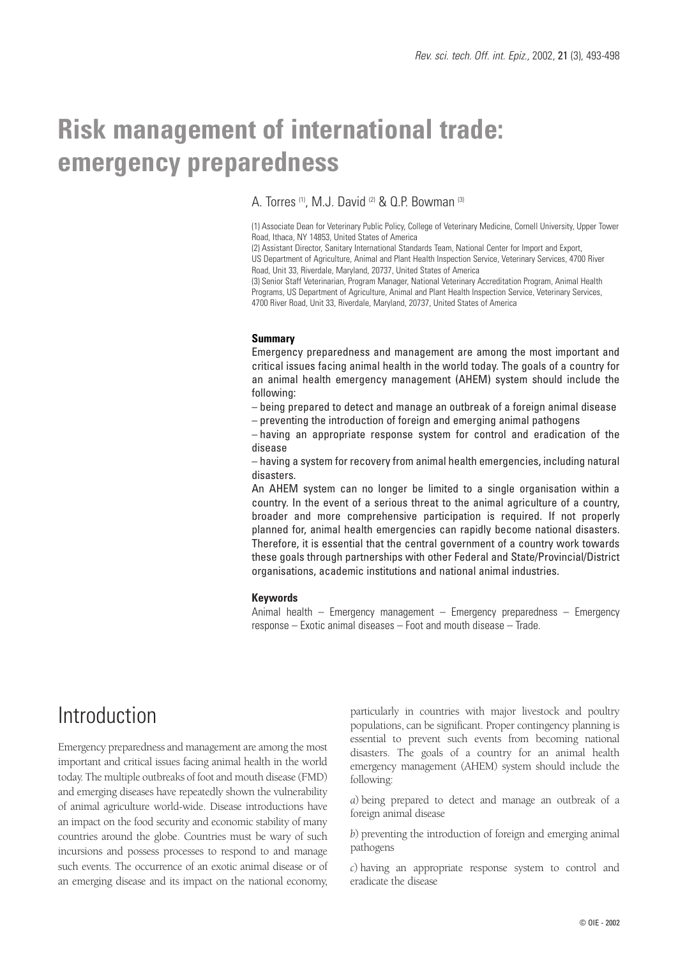# **Risk management of international trade: emergency preparedness**

### A. Torres (1), M.J. David (2) & Q.P. Bowman (3)

(1) Associate Dean for Veterinary Public Policy, College of Veterinary Medicine, Cornell University, Upper Tower Road, Ithaca, NY 14853, United States of America

(2) Assistant Director, Sanitary International Standards Team, National Center for Import and Export, US Department of Agriculture, Animal and Plant Health Inspection Service, Veterinary Services, 4700 River Road, Unit 33, Riverdale, Maryland, 20737, United States of America

(3) Senior Staff Veterinarian, Program Manager, National Veterinary Accreditation Program, Animal Health Programs, US Department of Agriculture, Animal and Plant Health Inspection Service, Veterinary Services, 4700 River Road, Unit 33, Riverdale, Maryland, 20737, United States of America

#### **Summary**

Emergency preparedness and management are among the most important and critical issues facing animal health in the world today. The goals of a country for an animal health emergency management (AHEM) system should include the following:

– being prepared to detect and manage an outbreak of a foreign animal disease

– preventing the introduction of foreign and emerging animal pathogens

– having an appropriate response system for control and eradication of the disease

– having a system for recovery from animal health emergencies, including natural disasters.

An AHEM system can no longer be limited to a single organisation within a country. In the event of a serious threat to the animal agriculture of a country, broader and more comprehensive participation is required. If not properly planned for, animal health emergencies can rapidly become national disasters. Therefore, it is essential that the central government of a country work towards these goals through partnerships with other Federal and State/Provincial/District organisations, academic institutions and national animal industries.

### **Keywords**

Animal health – Emergency management – Emergency preparedness – Emergency response – Exotic animal diseases – Foot and mouth disease – Trade.

## Introduction

Emergency preparedness and management are among the most important and critical issues facing animal health in the world today. The multiple outbreaks of foot and mouth disease (FMD) and emerging diseases have repeatedly shown the vulnerability of animal agriculture world-wide. Disease introductions have an impact on the food security and economic stability of many countries around the globe. Countries must be wary of such incursions and possess processes to respond to and manage such events. The occurrence of an exotic animal disease or of an emerging disease and its impact on the national economy,

particularly in countries with major livestock and poultry populations, can be significant. Proper contingency planning is essential to prevent such events from becoming national disasters. The goals of a country for an animal health emergency management (AHEM) system should include the following:

*a*) being prepared to detect and manage an outbreak of a foreign animal disease

*b*) preventing the introduction of foreign and emerging animal pathogens

*c*) having an appropriate response system to control and eradicate the disease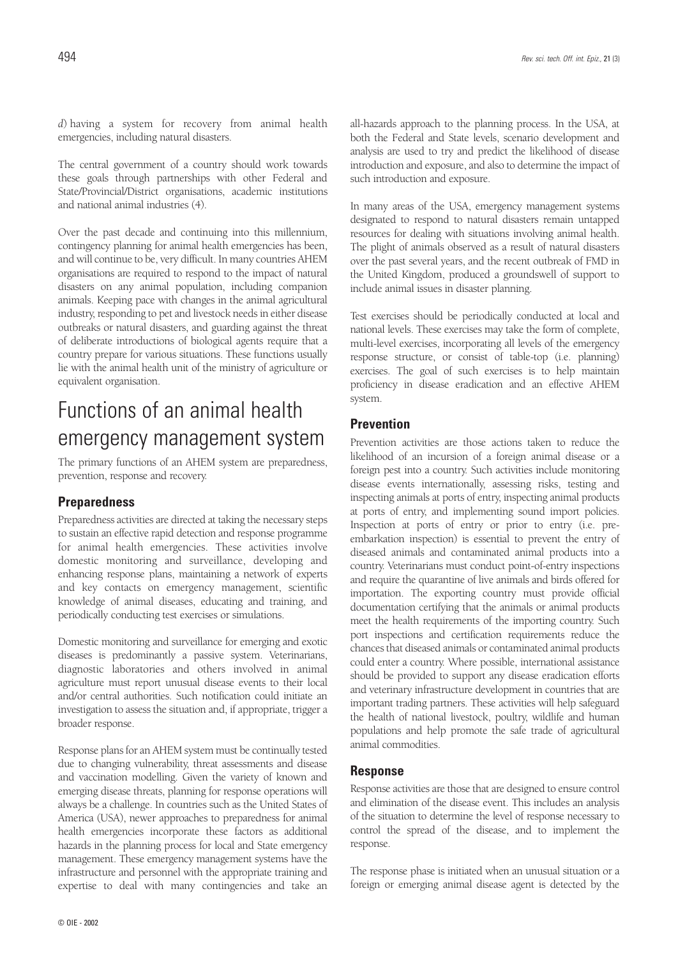*d*) having a system for recovery from animal health emergencies, including natural disasters.

The central government of a country should work towards these goals through partnerships with other Federal and State/Provincial/District organisations, academic institutions and national animal industries (4).

Over the past decade and continuing into this millennium, contingency planning for animal health emergencies has been, and will continue to be, very difficult. In many countries AHEM organisations are required to respond to the impact of natural disasters on any animal population, including companion animals. Keeping pace with changes in the animal agricultural industry, responding to pet and livestock needs in either disease outbreaks or natural disasters, and guarding against the threat of deliberate introductions of biological agents require that a country prepare for various situations. These functions usually lie with the animal health unit of the ministry of agriculture or equivalent organisation.

## Functions of an animal health emergency management system

The primary functions of an AHEM system are preparedness, prevention, response and recovery.

### **Preparedness**

Preparedness activities are directed at taking the necessary steps to sustain an effective rapid detection and response programme for animal health emergencies. These activities involve domestic monitoring and surveillance, developing and enhancing response plans, maintaining a network of experts and key contacts on emergency management, scientific knowledge of animal diseases, educating and training, and periodically conducting test exercises or simulations.

Domestic monitoring and surveillance for emerging and exotic diseases is predominantly a passive system. Veterinarians, diagnostic laboratories and others involved in animal agriculture must report unusual disease events to their local and/or central authorities. Such notification could initiate an investigation to assess the situation and, if appropriate, trigger a broader response.

Response plans for an AHEM system must be continually tested due to changing vulnerability, threat assessments and disease and vaccination modelling. Given the variety of known and emerging disease threats, planning for response operations will always be a challenge. In countries such as the United States of America (USA), newer approaches to preparedness for animal health emergencies incorporate these factors as additional hazards in the planning process for local and State emergency management. These emergency management systems have the infrastructure and personnel with the appropriate training and expertise to deal with many contingencies and take an

all-hazards approach to the planning process. In the USA, at both the Federal and State levels, scenario development and analysis are used to try and predict the likelihood of disease introduction and exposure, and also to determine the impact of such introduction and exposure.

In many areas of the USA, emergency management systems designated to respond to natural disasters remain untapped resources for dealing with situations involving animal health. The plight of animals observed as a result of natural disasters over the past several years, and the recent outbreak of FMD in the United Kingdom, produced a groundswell of support to include animal issues in disaster planning.

Test exercises should be periodically conducted at local and national levels. These exercises may take the form of complete, multi-level exercises, incorporating all levels of the emergency response structure, or consist of table-top (i.e. planning) exercises. The goal of such exercises is to help maintain proficiency in disease eradication and an effective AHEM system.

### **Prevention**

Prevention activities are those actions taken to reduce the likelihood of an incursion of a foreign animal disease or a foreign pest into a country. Such activities include monitoring disease events internationally, assessing risks, testing and inspecting animals at ports of entry, inspecting animal products at ports of entry, and implementing sound import policies. Inspection at ports of entry or prior to entry (i.e. preembarkation inspection) is essential to prevent the entry of diseased animals and contaminated animal products into a country. Veterinarians must conduct point-of-entry inspections and require the quarantine of live animals and birds offered for importation. The exporting country must provide official documentation certifying that the animals or animal products meet the health requirements of the importing country. Such port inspections and certification requirements reduce the chances that diseased animals or contaminated animal products could enter a country. Where possible, international assistance should be provided to support any disease eradication efforts and veterinary infrastructure development in countries that are important trading partners. These activities will help safeguard the health of national livestock, poultry, wildlife and human populations and help promote the safe trade of agricultural animal commodities.

#### **Response**

Response activities are those that are designed to ensure control and elimination of the disease event. This includes an analysis of the situation to determine the level of response necessary to control the spread of the disease, and to implement the response.

The response phase is initiated when an unusual situation or a foreign or emerging animal disease agent is detected by the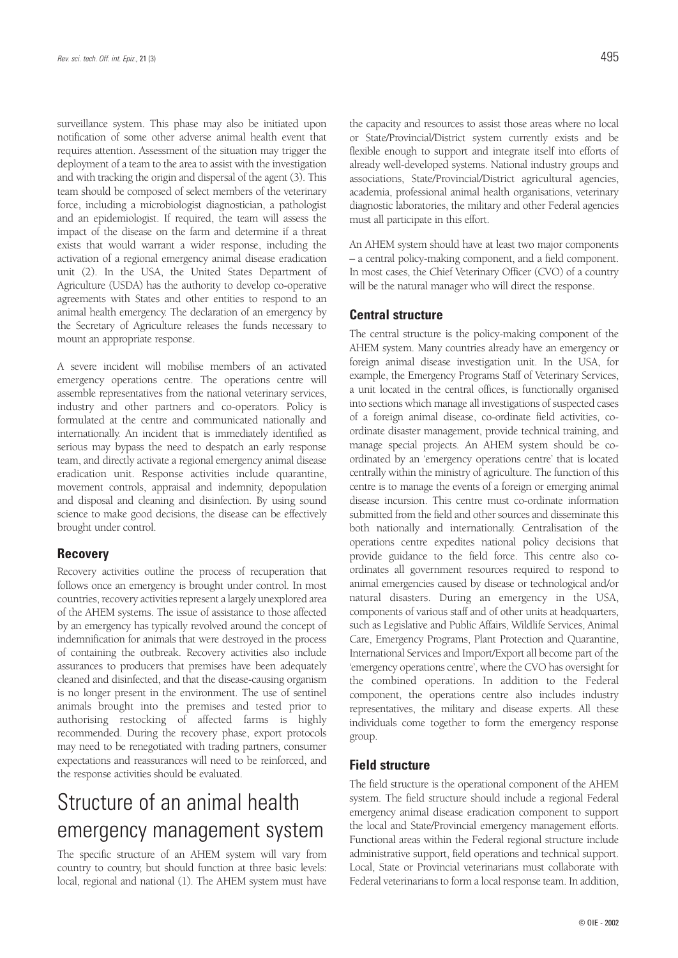surveillance system. This phase may also be initiated upon notification of some other adverse animal health event that requires attention. Assessment of the situation may trigger the deployment of a team to the area to assist with the investigation and with tracking the origin and dispersal of the agent (3). This team should be composed of select members of the veterinary force, including a microbiologist diagnostician, a pathologist and an epidemiologist. If required, the team will assess the impact of the disease on the farm and determine if a threat exists that would warrant a wider response, including the activation of a regional emergency animal disease eradication unit (2). In the USA, the United States Department of Agriculture (USDA) has the authority to develop co-operative agreements with States and other entities to respond to an animal health emergency. The declaration of an emergency by the Secretary of Agriculture releases the funds necessary to mount an appropriate response.

A severe incident will mobilise members of an activated emergency operations centre. The operations centre will assemble representatives from the national veterinary services, industry and other partners and co-operators. Policy is formulated at the centre and communicated nationally and internationally. An incident that is immediately identified as serious may bypass the need to despatch an early response team, and directly activate a regional emergency animal disease eradication unit. Response activities include quarantine, movement controls, appraisal and indemnity, depopulation and disposal and cleaning and disinfection. By using sound science to make good decisions, the disease can be effectively brought under control.

### **Recovery**

Recovery activities outline the process of recuperation that follows once an emergency is brought under control. In most countries, recovery activities represent a largely unexplored area of the AHEM systems. The issue of assistance to those affected by an emergency has typically revolved around the concept of indemnification for animals that were destroyed in the process of containing the outbreak. Recovery activities also include assurances to producers that premises have been adequately cleaned and disinfected, and that the disease-causing organism is no longer present in the environment. The use of sentinel animals brought into the premises and tested prior to authorising restocking of affected farms is highly recommended. During the recovery phase, export protocols may need to be renegotiated with trading partners, consumer expectations and reassurances will need to be reinforced, and the response activities should be evaluated.

## Structure of an animal health emergency management system

The specific structure of an AHEM system will vary from country to country, but should function at three basic levels: local, regional and national (1). The AHEM system must have the capacity and resources to assist those areas where no local or State/Provincial/District system currently exists and be flexible enough to support and integrate itself into efforts of already well-developed systems. National industry groups and associations, State/Provincial/District agricultural agencies, academia, professional animal health organisations, veterinary diagnostic laboratories, the military and other Federal agencies must all participate in this effort.

An AHEM system should have at least two major components – a central policy-making component, and a field component. In most cases, the Chief Veterinary Officer (CVO) of a country will be the natural manager who will direct the response.

### **Central structure**

The central structure is the policy-making component of the AHEM system. Many countries already have an emergency or foreign animal disease investigation unit. In the USA, for example, the Emergency Programs Staff of Veterinary Services, a unit located in the central offices, is functionally organised into sections which manage all investigations of suspected cases of a foreign animal disease, co-ordinate field activities, coordinate disaster management, provide technical training, and manage special projects. An AHEM system should be coordinated by an 'emergency operations centre' that is located centrally within the ministry of agriculture. The function of this centre is to manage the events of a foreign or emerging animal disease incursion. This centre must co-ordinate information submitted from the field and other sources and disseminate this both nationally and internationally. Centralisation of the operations centre expedites national policy decisions that provide guidance to the field force. This centre also coordinates all government resources required to respond to animal emergencies caused by disease or technological and/or natural disasters. During an emergency in the USA, components of various staff and of other units at headquarters, such as Legislative and Public Affairs, Wildlife Services, Animal Care, Emergency Programs, Plant Protection and Quarantine, International Services and Import/Export all become part of the 'emergency operations centre', where the CVO has oversight for the combined operations. In addition to the Federal component, the operations centre also includes industry representatives, the military and disease experts. All these individuals come together to form the emergency response group.

### **Field structure**

The field structure is the operational component of the AHEM system. The field structure should include a regional Federal emergency animal disease eradication component to support the local and State/Provincial emergency management efforts. Functional areas within the Federal regional structure include administrative support, field operations and technical support. Local, State or Provincial veterinarians must collaborate with Federal veterinarians to form a local response team. In addition,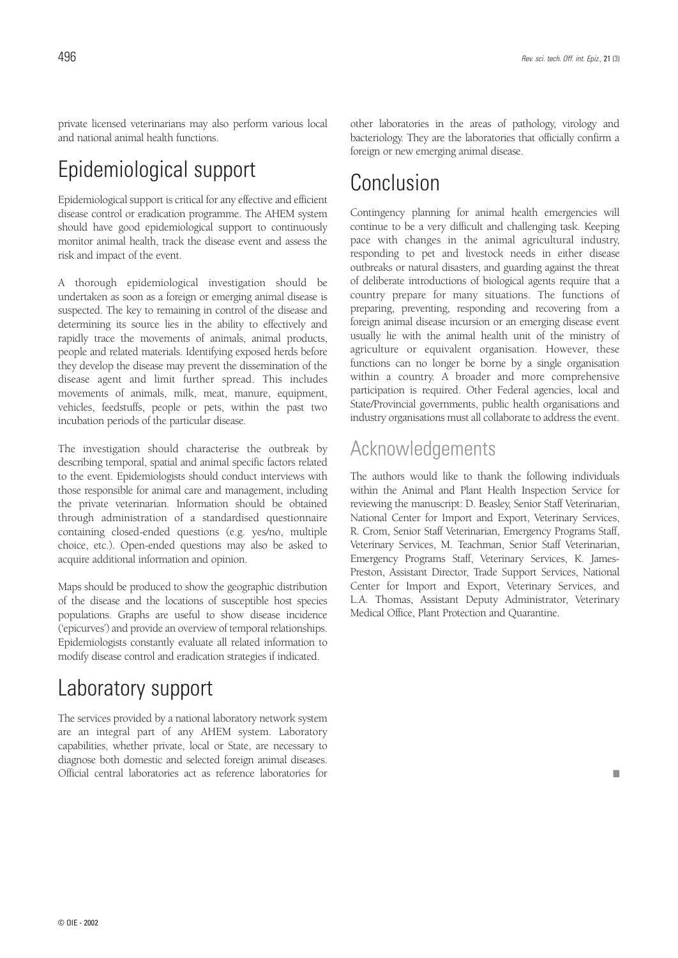private licensed veterinarians may also perform various local and national animal health functions.

## Epidemiological support

Epidemiological support is critical for any effective and efficient disease control or eradication programme. The AHEM system should have good epidemiological support to continuously monitor animal health, track the disease event and assess the risk and impact of the event.

A thorough epidemiological investigation should be undertaken as soon as a foreign or emerging animal disease is suspected. The key to remaining in control of the disease and determining its source lies in the ability to effectively and rapidly trace the movements of animals, animal products, people and related materials. Identifying exposed herds before they develop the disease may prevent the dissemination of the disease agent and limit further spread. This includes movements of animals, milk, meat, manure, equipment, vehicles, feedstuffs, people or pets, within the past two incubation periods of the particular disease.

The investigation should characterise the outbreak by describing temporal, spatial and animal specific factors related to the event. Epidemiologists should conduct interviews with those responsible for animal care and management, including the private veterinarian. Information should be obtained through administration of a standardised questionnaire containing closed-ended questions (e.g. yes/no, multiple choice, etc.). Open-ended questions may also be asked to acquire additional information and opinion.

Maps should be produced to show the geographic distribution of the disease and the locations of susceptible host species populations. Graphs are useful to show disease incidence ('epicurves') and provide an overview of temporal relationships. Epidemiologists constantly evaluate all related information to modify disease control and eradication strategies if indicated.

## Laboratory support

The services provided by a national laboratory network system are an integral part of any AHEM system. Laboratory capabilities, whether private, local or State, are necessary to diagnose both domestic and selected foreign animal diseases. Official central laboratories act as reference laboratories for

other laboratories in the areas of pathology, virology and bacteriology. They are the laboratories that officially confirm a foreign or new emerging animal disease.

## Conclusion

Contingency planning for animal health emergencies will continue to be a very difficult and challenging task. Keeping pace with changes in the animal agricultural industry, responding to pet and livestock needs in either disease outbreaks or natural disasters, and guarding against the threat of deliberate introductions of biological agents require that a country prepare for many situations. The functions of preparing, preventing, responding and recovering from a foreign animal disease incursion or an emerging disease event usually lie with the animal health unit of the ministry of agriculture or equivalent organisation. However, these functions can no longer be borne by a single organisation within a country. A broader and more comprehensive participation is required. Other Federal agencies, local and State/Provincial governments, public health organisations and industry organisations must all collaborate to address the event.

### Acknowledgements

The authors would like to thank the following individuals within the Animal and Plant Health Inspection Service for reviewing the manuscript: D. Beasley, Senior Staff Veterinarian, National Center for Import and Export, Veterinary Services, R. Crom, Senior Staff Veterinarian, Emergency Programs Staff, Veterinary Services, M. Teachman, Senior Staff Veterinarian, Emergency Programs Staff, Veterinary Services, K. James-Preston, Assistant Director, Trade Support Services, National Center for Import and Export, Veterinary Services, and L.A. Thomas, Assistant Deputy Administrator, Veterinary Medical Office, Plant Protection and Quarantine.

■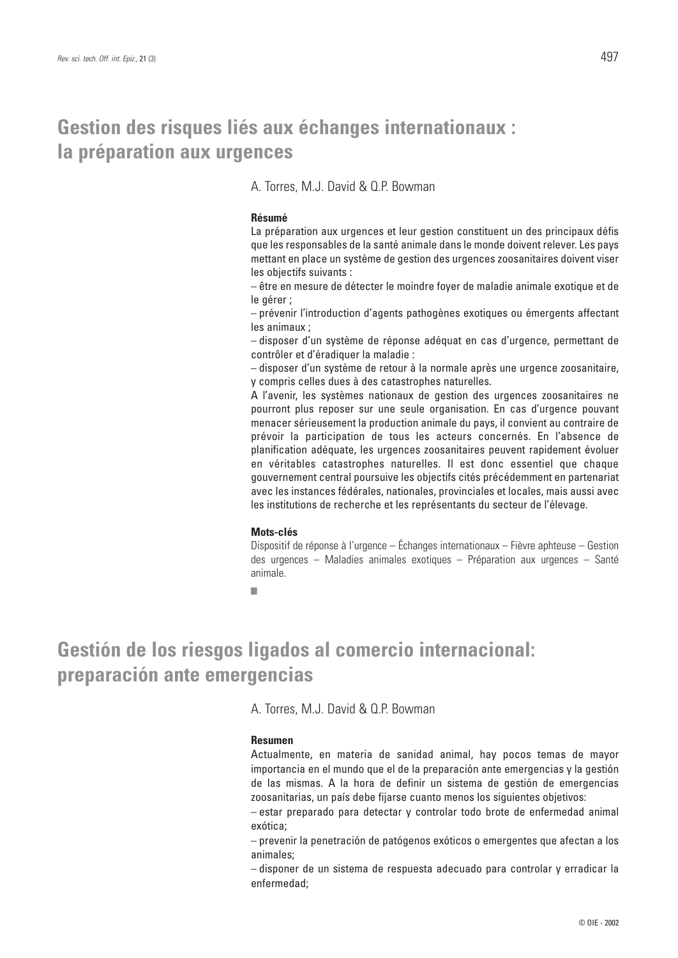### **Gestion des risques liés aux échanges internationaux : la préparation aux urgences**

A. Torres, M.J. David & Q.P. Bowman

### **Résumé**

La préparation aux urgences et leur gestion constituent un des principaux défis que les responsables de la santé animale dans le monde doivent relever. Les pays mettant en place un système de gestion des urgences zoosanitaires doivent viser les objectifs suivants :

– être en mesure de détecter le moindre foyer de maladie animale exotique et de le gérer ;

– prévenir l'introduction d'agents pathogènes exotiques ou émergents affectant les animaux ;

– disposer d'un système de réponse adéquat en cas d'urgence, permettant de contrôler et d'éradiquer la maladie :

– disposer d'un système de retour à la normale après une urgence zoosanitaire, y compris celles dues à des catastrophes naturelles.

A l'avenir, les systèmes nationaux de gestion des urgences zoosanitaires ne pourront plus reposer sur une seule organisation. En cas d'urgence pouvant menacer sérieusement la production animale du pays, il convient au contraire de prévoir la participation de tous les acteurs concernés. En l'absence de planification adéquate, les urgences zoosanitaires peuvent rapidement évoluer en véritables catastrophes naturelles. Il est donc essentiel que chaque gouvernement central poursuive les objectifs cités précédemment en partenariat avec les instances fédérales, nationales, provinciales et locales, mais aussi avec les institutions de recherche et les représentants du secteur de l'élevage.

#### **Mots-clés**

Dispositif de réponse à l'urgence – Échanges internationaux – Fièvre aphteuse – Gestion des urgences – Maladies animales exotiques – Préparation aux urgences – Santé animale.

■

## **Gestión de los riesgos ligados al comercio internacional: preparación ante emergencias**

A. Torres, M.J. David & Q.P. Bowman

#### **Resumen**

Actualmente, en materia de sanidad animal, hay pocos temas de mayor importancia en el mundo que el de la preparación ante emergencias y la gestión de las mismas. A la hora de definir un sistema de gestión de emergencias zoosanitarias, un país debe fijarse cuanto menos los siguientes objetivos:

– estar preparado para detectar y controlar todo brote de enfermedad animal exótica;

– prevenir la penetración de patógenos exóticos o emergentes que afectan a los animales;

– disponer de un sistema de respuesta adecuado para controlar y erradicar la enfermedad;